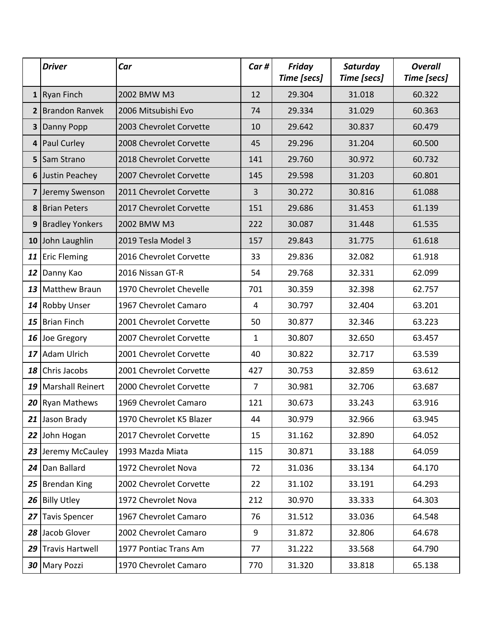|                 | <b>Driver</b>          | Car                      | Car#           | <b>Friday</b><br>Time [secs] | Saturday<br>Time [secs] | <b>Overall</b><br>Time [secs] |
|-----------------|------------------------|--------------------------|----------------|------------------------------|-------------------------|-------------------------------|
|                 | $1$ Ryan Finch         | 2002 BMW M3              | 12             | 29.304                       | 31.018                  | 60.322                        |
|                 | 2 Brandon Ranvek       | 2006 Mitsubishi Evo      | 74             | 29.334                       | 31.029                  | 60.363                        |
| 3               | Danny Popp             | 2003 Chevrolet Corvette  | 10             | 29.642                       | 30.837                  | 60.479                        |
| 4               | <b>Paul Curley</b>     | 2008 Chevrolet Corvette  | 45             | 29.296                       | 31.204                  | 60.500                        |
| 5               | Sam Strano             | 2018 Chevrolet Corvette  | 141            | 29.760                       | 30.972                  | 60.732                        |
|                 | 6 Justin Peachey       | 2007 Chevrolet Corvette  | 145            | 29.598                       | 31.203                  | 60.801                        |
|                 | 7 Jeremy Swenson       | 2011 Chevrolet Corvette  | 3              | 30.272                       | 30.816                  | 61.088                        |
| 8               | <b>Brian Peters</b>    | 2017 Chevrolet Corvette  | 151            | 29.686                       | 31.453                  | 61.139                        |
| 9               | <b>Bradley Yonkers</b> | 2002 BMW M3              | 222            | 30.087                       | 31.448                  | 61.535                        |
| 10              | John Laughlin          | 2019 Tesla Model 3       | 157            | 29.843                       | 31.775                  | 61.618                        |
|                 | 11 Eric Fleming        | 2016 Chevrolet Corvette  | 33             | 29.836                       | 32.082                  | 61.918                        |
| 12              | Danny Kao              | 2016 Nissan GT-R         | 54             | 29.768                       | 32.331                  | 62.099                        |
|                 | 13 Matthew Braun       | 1970 Chevrolet Chevelle  | 701            | 30.359                       | 32.398                  | 62.757                        |
|                 | 14 Robby Unser         | 1967 Chevrolet Camaro    | 4              | 30.797                       | 32.404                  | 63.201                        |
| 15              | <b>Brian Finch</b>     | 2001 Chevrolet Corvette  | 50             | 30.877                       | 32.346                  | 63.223                        |
|                 | 16 Joe Gregory         | 2007 Chevrolet Corvette  | 1              | 30.807                       | 32.650                  | 63.457                        |
| 17              | Adam Ulrich            | 2001 Chevrolet Corvette  | 40             | 30.822                       | 32.717                  | 63.539                        |
| 18              | Chris Jacobs           | 2001 Chevrolet Corvette  | 427            | 30.753                       | 32.859                  | 63.612                        |
|                 | 19 Marshall Reinert    | 2000 Chevrolet Corvette  | $\overline{7}$ | 30.981                       | 32.706                  | 63.687                        |
|                 | 20 Ryan Mathews        | 1969 Chevrolet Camaro    | 121            | 30.673                       | 33.243                  | 63.916                        |
|                 | 21 Jason Brady         | 1970 Chevrolet K5 Blazer | 44             | 30.979                       | 32.966                  | 63.945                        |
|                 | 22 John Hogan          | 2017 Chevrolet Corvette  | 15             | 31.162                       | 32.890                  | 64.052                        |
|                 | 23 Jeremy McCauley     | 1993 Mazda Miata         | 115            | 30.871                       | 33.188                  | 64.059                        |
|                 | 24 Dan Ballard         | 1972 Chevrolet Nova      | 72             | 31.036                       | 33.134                  | 64.170                        |
|                 | 25 Brendan King        | 2002 Chevrolet Corvette  | 22             | 31.102                       | 33.191                  | 64.293                        |
| 26 <sup>1</sup> | <b>Billy Utley</b>     | 1972 Chevrolet Nova      | 212            | 30.970                       | 33.333                  | 64.303                        |
| 27              | <b>Tavis Spencer</b>   | 1967 Chevrolet Camaro    | 76             | 31.512                       | 33.036                  | 64.548                        |
|                 | 28 Jacob Glover        | 2002 Chevrolet Camaro    | 9              | 31.872                       | 32.806                  | 64.678                        |
| 29              | <b>Travis Hartwell</b> | 1977 Pontiac Trans Am    | 77             | 31.222                       | 33.568                  | 64.790                        |
|                 | 30 Mary Pozzi          | 1970 Chevrolet Camaro    | 770            | 31.320                       | 33.818                  | 65.138                        |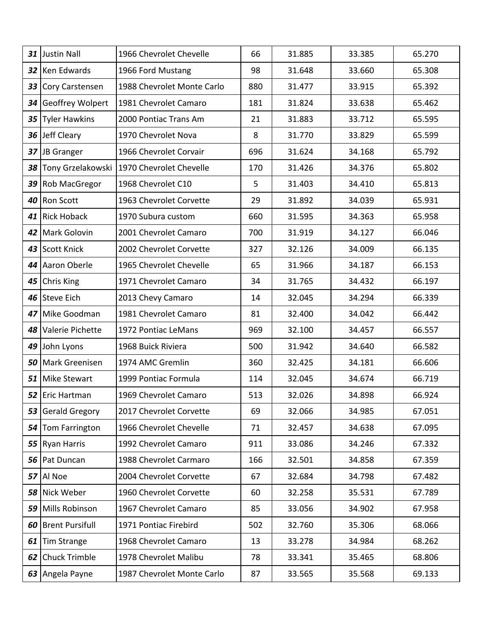| 31              | <b>Justin Nall</b>     | 1966 Chevrolet Chevelle                     | 66  | 31.885 | 33.385 | 65.270 |
|-----------------|------------------------|---------------------------------------------|-----|--------|--------|--------|
| 32 <sub>1</sub> | Ken Edwards            | 1966 Ford Mustang                           | 98  | 31.648 | 33.660 | 65.308 |
| 33              | Cory Carstensen        | 1988 Chevrolet Monte Carlo                  | 880 | 31.477 | 33.915 | 65.392 |
| 34              | Geoffrey Wolpert       | 1981 Chevrolet Camaro                       | 181 | 31.824 | 33.638 | 65.462 |
| 35              | <b>Tyler Hawkins</b>   | 2000 Pontiac Trans Am                       | 21  | 31.883 | 33.712 | 65.595 |
| 36 <sup>1</sup> | Jeff Cleary            | 1970 Chevrolet Nova                         | 8   | 31.770 | 33.829 | 65.599 |
| 37              | JB Granger             | 1966 Chevrolet Corvair                      | 696 | 31.624 | 34.168 | 65.792 |
| 38              |                        | Tony Grzelakowski   1970 Chevrolet Chevelle | 170 | 31.426 | 34.376 | 65.802 |
| 39              | Rob MacGregor          | 1968 Chevrolet C10                          | 5   | 31.403 | 34.410 | 65.813 |
| 40              | Ron Scott              | 1963 Chevrolet Corvette                     | 29  | 31.892 | 34.039 | 65.931 |
| 41              | <b>Rick Hoback</b>     | 1970 Subura custom                          | 660 | 31.595 | 34.363 | 65.958 |
| 42              | Mark Golovin           | 2001 Chevrolet Camaro                       | 700 | 31.919 | 34.127 | 66.046 |
| 43              | <b>Scott Knick</b>     | 2002 Chevrolet Corvette                     | 327 | 32.126 | 34.009 | 66.135 |
| 44              | Aaron Oberle           | 1965 Chevrolet Chevelle                     | 65  | 31.966 | 34.187 | 66.153 |
| 45              | Chris King             | 1971 Chevrolet Camaro                       | 34  | 31.765 | 34.432 | 66.197 |
| 46              | <b>Steve Eich</b>      | 2013 Chevy Camaro                           | 14  | 32.045 | 34.294 | 66.339 |
| 47              | Mike Goodman           | 1981 Chevrolet Camaro                       | 81  | 32.400 | 34.042 | 66.442 |
| 48              | Valerie Pichette       | 1972 Pontiac LeMans                         | 969 | 32.100 | 34.457 | 66.557 |
| 49              | John Lyons             | 1968 Buick Riviera                          | 500 | 31.942 | 34.640 | 66.582 |
| 50              | Mark Greenisen         | 1974 AMC Gremlin                            | 360 | 32.425 | 34.181 | 66.606 |
| 51              | <b>Mike Stewart</b>    | 1999 Pontiac Formula                        | 114 | 32.045 | 34.674 | 66.719 |
|                 | 52 Eric Hartman        | 1969 Chevrolet Camaro                       | 513 | 32.026 | 34.898 | 66.924 |
| 53              | <b>Gerald Gregory</b>  | 2017 Chevrolet Corvette                     | 69  | 32.066 | 34.985 | 67.051 |
| 54              | Tom Farrington         | 1966 Chevrolet Chevelle                     | 71  | 32.457 | 34.638 | 67.095 |
| 55              | <b>Ryan Harris</b>     | 1992 Chevrolet Camaro                       | 911 | 33.086 | 34.246 | 67.332 |
| 56              | Pat Duncan             | 1988 Chevrolet Carmaro                      | 166 | 32.501 | 34.858 | 67.359 |
| 57              | Al Noe                 | 2004 Chevrolet Corvette                     | 67  | 32.684 | 34.798 | 67.482 |
| 58              | Nick Weber             | 1960 Chevrolet Corvette                     | 60  | 32.258 | 35.531 | 67.789 |
| 59              | Mills Robinson         | 1967 Chevrolet Camaro                       | 85  | 33.056 | 34.902 | 67.958 |
| 60              | <b>Brent Pursifull</b> | 1971 Pontiac Firebird                       | 502 | 32.760 | 35.306 | 68.066 |
| 61              | <b>Tim Strange</b>     | 1968 Chevrolet Camaro                       | 13  | 33.278 | 34.984 | 68.262 |
| 62              | <b>Chuck Trimble</b>   | 1978 Chevrolet Malibu                       | 78  | 33.341 | 35.465 | 68.806 |
| 63              | Angela Payne           | 1987 Chevrolet Monte Carlo                  | 87  | 33.565 | 35.568 | 69.133 |